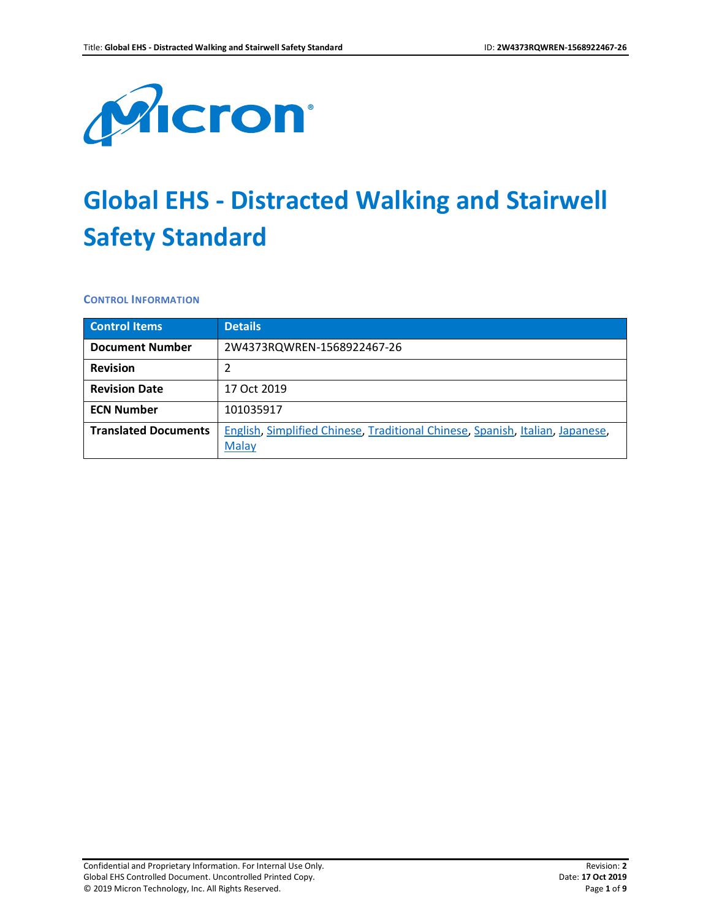

# **Global EHS - Distracted Walking and Stairwell Safety Standard**

**CONTROL INFORMATION**

| <b>Control Items</b>        | <b>Details</b>                                                                                |
|-----------------------------|-----------------------------------------------------------------------------------------------|
| <b>Document Number</b>      | 2W4373RQWREN-1568922467-26                                                                    |
| <b>Revision</b>             |                                                                                               |
| <b>Revision Date</b>        | 17 Oct 2019                                                                                   |
| <b>ECN Number</b>           | 101035917                                                                                     |
| <b>Translated Documents</b> | English, Simplified Chinese, Traditional Chinese, Spanish, Italian, Japanese,<br><b>Malay</b> |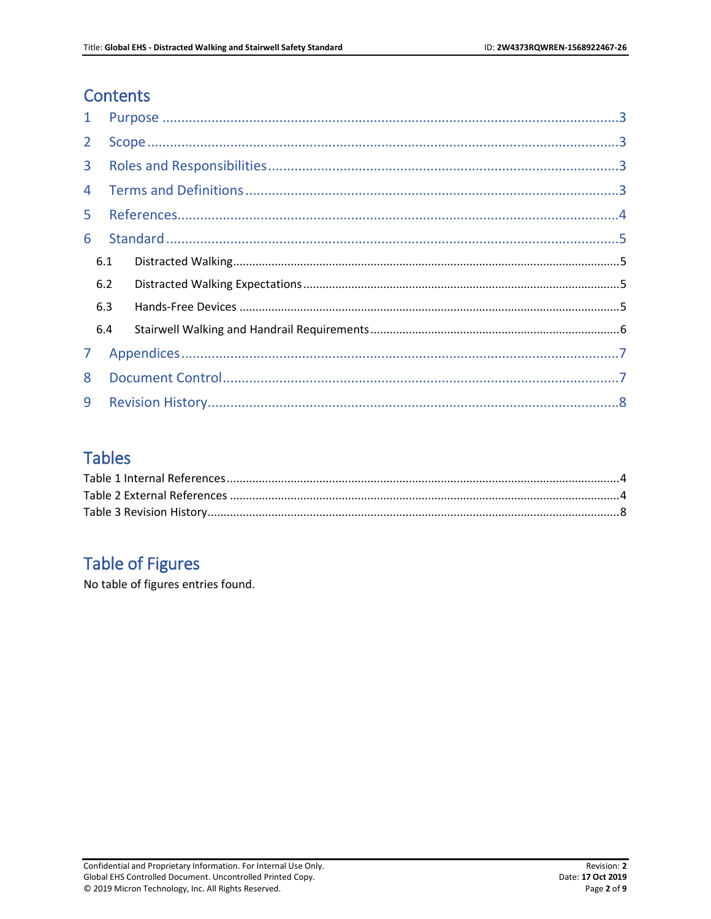# **Contents**

| $\mathbf{1}$   |     |  |  |  |
|----------------|-----|--|--|--|
| $\overline{2}$ |     |  |  |  |
| 3              |     |  |  |  |
| 4              |     |  |  |  |
| 5              |     |  |  |  |
| 6              |     |  |  |  |
|                | 6.1 |  |  |  |
|                | 6.2 |  |  |  |
|                | 6.3 |  |  |  |
|                | 6.4 |  |  |  |
| $\mathcal{I}$  |     |  |  |  |
| 8              |     |  |  |  |
| 9              |     |  |  |  |

## **Tables**

# **Table of Figures**

No table of figures entries found.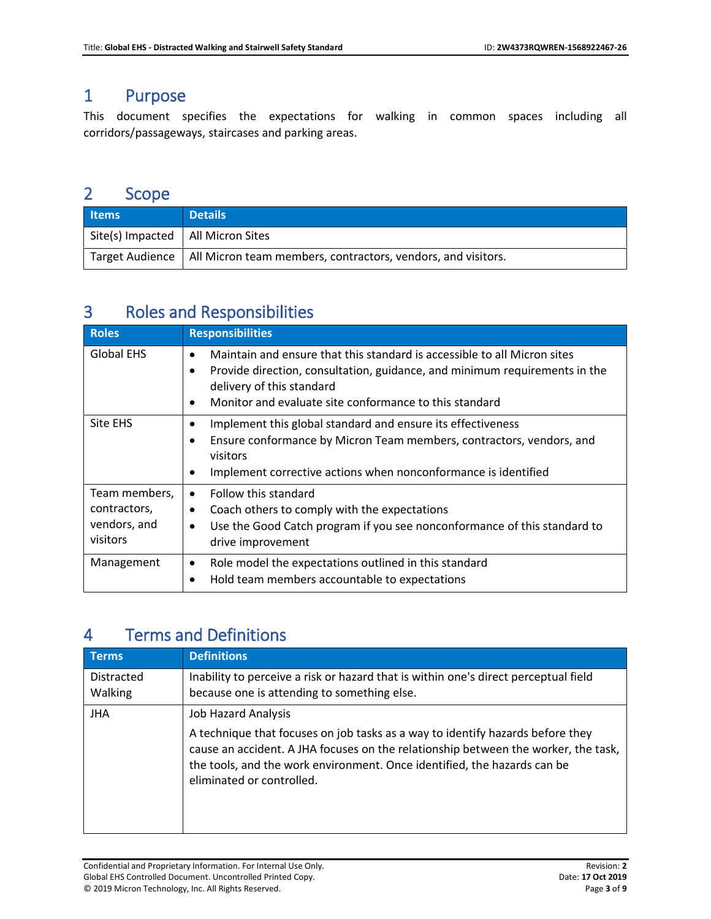## <span id="page-2-0"></span>1 Purpose

This document specifies the expectations for walking in common spaces including all corridors/passageways, staircases and parking areas.

## <span id="page-2-1"></span>2 Scope

| <b>Items</b>                                                        | <b>Details</b>                                                                 |
|---------------------------------------------------------------------|--------------------------------------------------------------------------------|
| $\left  \right $ Site(s) Impacted $\left  \right $ All Micron Sites |                                                                                |
|                                                                     | Target Audience   All Micron team members, contractors, vendors, and visitors. |

## <span id="page-2-2"></span>3 Roles and Responsibilities

| <b>Roles</b>                                              | <b>Responsibilities</b>                                                                                                                                                                                                                                         |
|-----------------------------------------------------------|-----------------------------------------------------------------------------------------------------------------------------------------------------------------------------------------------------------------------------------------------------------------|
| <b>Global EHS</b>                                         | Maintain and ensure that this standard is accessible to all Micron sites<br>٠<br>Provide direction, consultation, guidance, and minimum requirements in the<br>delivery of this standard<br>Monitor and evaluate site conformance to this standard<br>$\bullet$ |
| Site EHS                                                  | Implement this global standard and ensure its effectiveness<br>٠<br>Ensure conformance by Micron Team members, contractors, vendors, and<br>visitors<br>Implement corrective actions when nonconformance is identified                                          |
| Team members,<br>contractors,<br>vendors, and<br>visitors | Follow this standard<br>$\bullet$<br>Coach others to comply with the expectations<br>Use the Good Catch program if you see nonconformance of this standard to<br>$\bullet$<br>drive improvement                                                                 |
| Management                                                | Role model the expectations outlined in this standard<br>٠<br>Hold team members accountable to expectations                                                                                                                                                     |

# <span id="page-2-3"></span>4 Terms and Definitions

| <b>Terms</b>          | <b>Definitions</b>                                                                                                                                                                                                                                                            |
|-----------------------|-------------------------------------------------------------------------------------------------------------------------------------------------------------------------------------------------------------------------------------------------------------------------------|
| Distracted<br>Walking | Inability to perceive a risk or hazard that is within one's direct perceptual field<br>because one is attending to something else.                                                                                                                                            |
| <b>JHA</b>            | <b>Job Hazard Analysis</b>                                                                                                                                                                                                                                                    |
|                       | A technique that focuses on job tasks as a way to identify hazards before they<br>cause an accident. A JHA focuses on the relationship between the worker, the task,<br>the tools, and the work environment. Once identified, the hazards can be<br>eliminated or controlled. |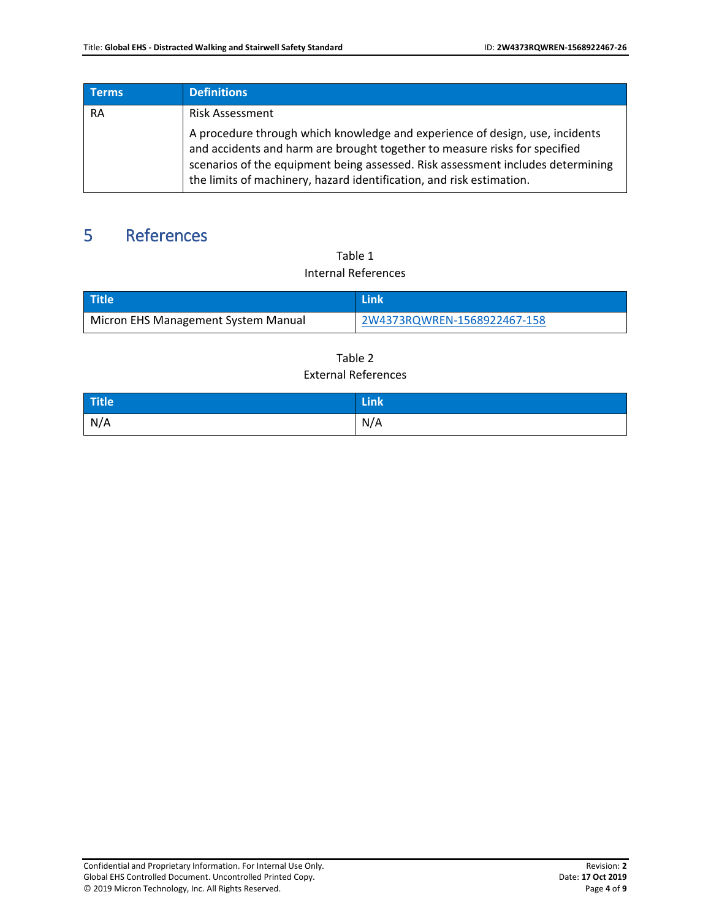| <b>Terms</b> | <b>Definitions</b>                                                                                                                                                                                                                                                                                                    |
|--------------|-----------------------------------------------------------------------------------------------------------------------------------------------------------------------------------------------------------------------------------------------------------------------------------------------------------------------|
| RA           | <b>Risk Assessment</b>                                                                                                                                                                                                                                                                                                |
|              | A procedure through which knowledge and experience of design, use, incidents<br>and accidents and harm are brought together to measure risks for specified<br>scenarios of the equipment being assessed. Risk assessment includes determining<br>the limits of machinery, hazard identification, and risk estimation. |

## <span id="page-3-1"></span><span id="page-3-0"></span>5 References

Table 1 Internal References

| <b>Title</b>                        | <b>Link</b>                 |
|-------------------------------------|-----------------------------|
| Micron EHS Management System Manual | 2W4373RQWREN-1568922467-158 |

#### Table 2 External References

<span id="page-3-2"></span>

| $\overline{AB}$<br><b>ALLUS</b> | .   |
|---------------------------------|-----|
| N/A                             | N/A |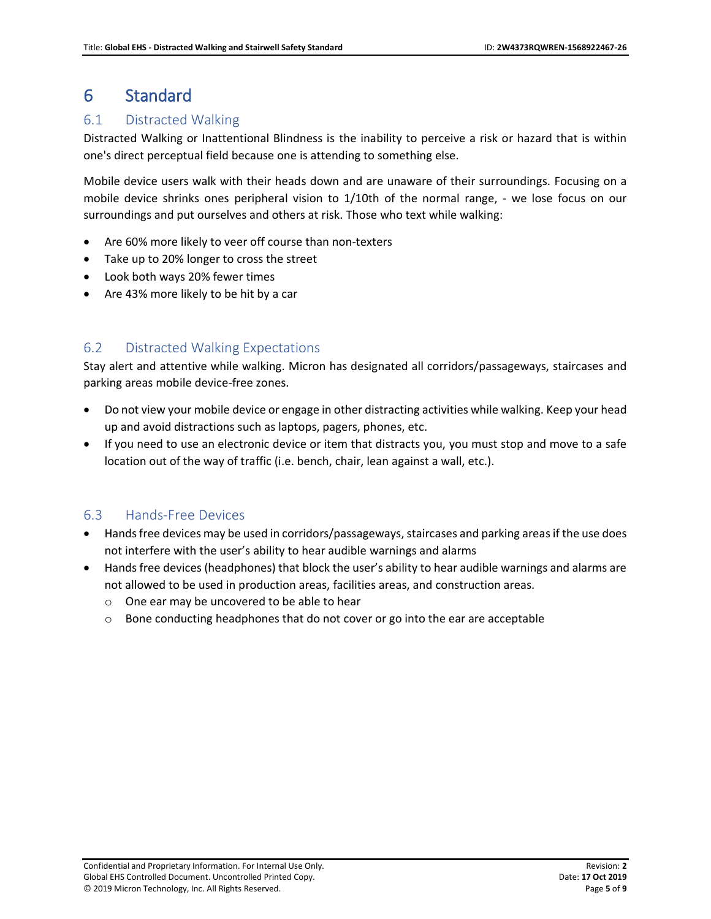## <span id="page-4-0"></span>6 Standard

#### <span id="page-4-1"></span>6.1 Distracted Walking

Distracted Walking or Inattentional Blindness is the inability to perceive a risk or hazard that is within one's direct perceptual field because one is attending to something else.

Mobile device users walk with their heads down and are unaware of their surroundings. Focusing on a mobile device shrinks ones peripheral vision to 1/10th of the normal range, - we lose focus on our surroundings and put ourselves and others at risk. Those who text while walking:

- Are 60% more likely to veer off course than non-texters
- Take up to 20% longer to cross the street
- Look both ways 20% fewer times
- Are 43% more likely to be hit by a car

#### <span id="page-4-2"></span>6.2 Distracted Walking Expectations

Stay alert and attentive while walking. Micron has designated all corridors/passageways, staircases and parking areas mobile device-free zones.

- Do not view your mobile device or engage in other distracting activities while walking. Keep your head up and avoid distractions such as laptops, pagers, phones, etc.
- If you need to use an electronic device or item that distracts you, you must stop and move to a safe location out of the way of traffic (i.e. bench, chair, lean against a wall, etc.).

#### <span id="page-4-3"></span>6.3 Hands-Free Devices

- Hands free devices may be used in corridors/passageways, staircases and parking areas if the use does not interfere with the user's ability to hear audible warnings and alarms
- Hands free devices (headphones) that block the user's ability to hear audible warnings and alarms are not allowed to be used in production areas, facilities areas, and construction areas.
	- o One ear may be uncovered to be able to hear
	- $\circ$  Bone conducting headphones that do not cover or go into the ear are acceptable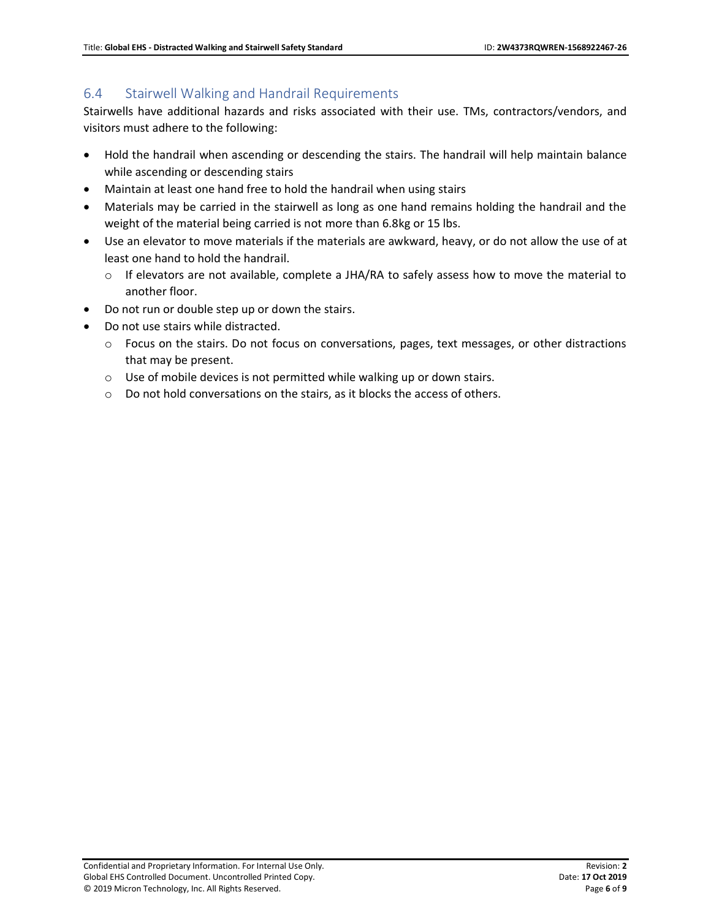#### <span id="page-5-0"></span>6.4 Stairwell Walking and Handrail Requirements

Stairwells have additional hazards and risks associated with their use. TMs, contractors/vendors, and visitors must adhere to the following:

- Hold the handrail when ascending or descending the stairs. The handrail will help maintain balance while ascending or descending stairs
- Maintain at least one hand free to hold the handrail when using stairs
- Materials may be carried in the stairwell as long as one hand remains holding the handrail and the weight of the material being carried is not more than 6.8kg or 15 lbs.
- Use an elevator to move materials if the materials are awkward, heavy, or do not allow the use of at least one hand to hold the handrail.
	- $\circ$  If elevators are not available, complete a JHA/RA to safely assess how to move the material to another floor.
- Do not run or double step up or down the stairs.
- Do not use stairs while distracted.
	- o Focus on the stairs. Do not focus on conversations, pages, text messages, or other distractions that may be present.
	- o Use of mobile devices is not permitted while walking up or down stairs.
	- o Do not hold conversations on the stairs, as it blocks the access of others.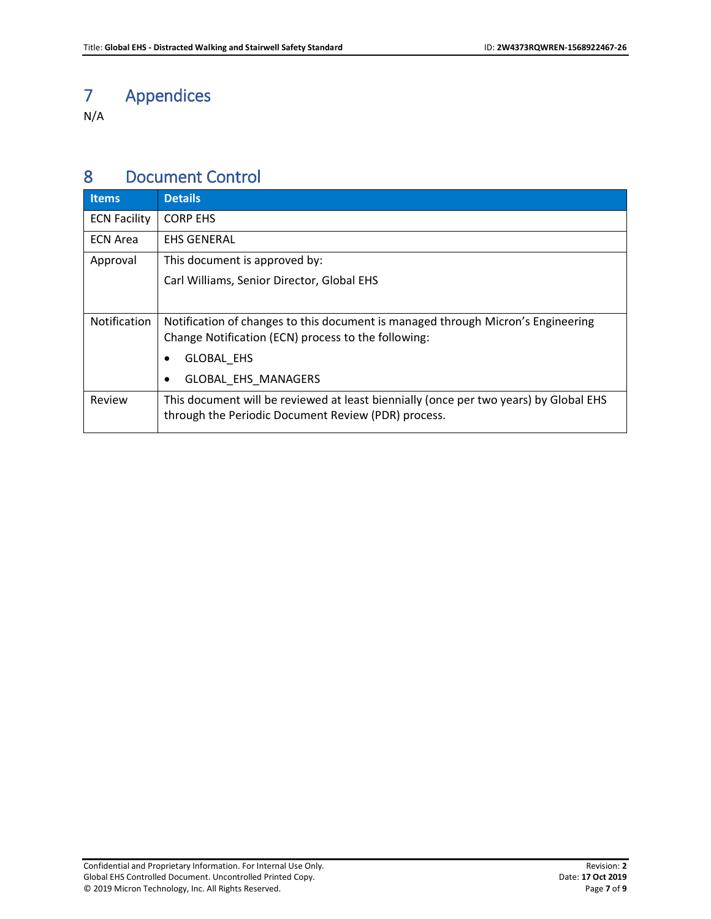# <span id="page-6-0"></span>7 Appendices

N/A

## <span id="page-6-1"></span>8 Document Control

| <b>Items</b>        | <b>Details</b>                                                                                                                          |
|---------------------|-----------------------------------------------------------------------------------------------------------------------------------------|
| <b>ECN Facility</b> | <b>CORP EHS</b>                                                                                                                         |
| <b>ECN Area</b>     | <b>EHS GENERAL</b>                                                                                                                      |
| Approval            | This document is approved by:                                                                                                           |
|                     | Carl Williams, Senior Director, Global EHS                                                                                              |
|                     |                                                                                                                                         |
| Notification        | Notification of changes to this document is managed through Micron's Engineering<br>Change Notification (ECN) process to the following: |
|                     |                                                                                                                                         |
|                     | <b>GLOBAL EHS</b><br>٠                                                                                                                  |
|                     | GLOBAL EHS MANAGERS                                                                                                                     |
| Review              | This document will be reviewed at least biennially (once per two years) by Global EHS                                                   |
|                     | through the Periodic Document Review (PDR) process.                                                                                     |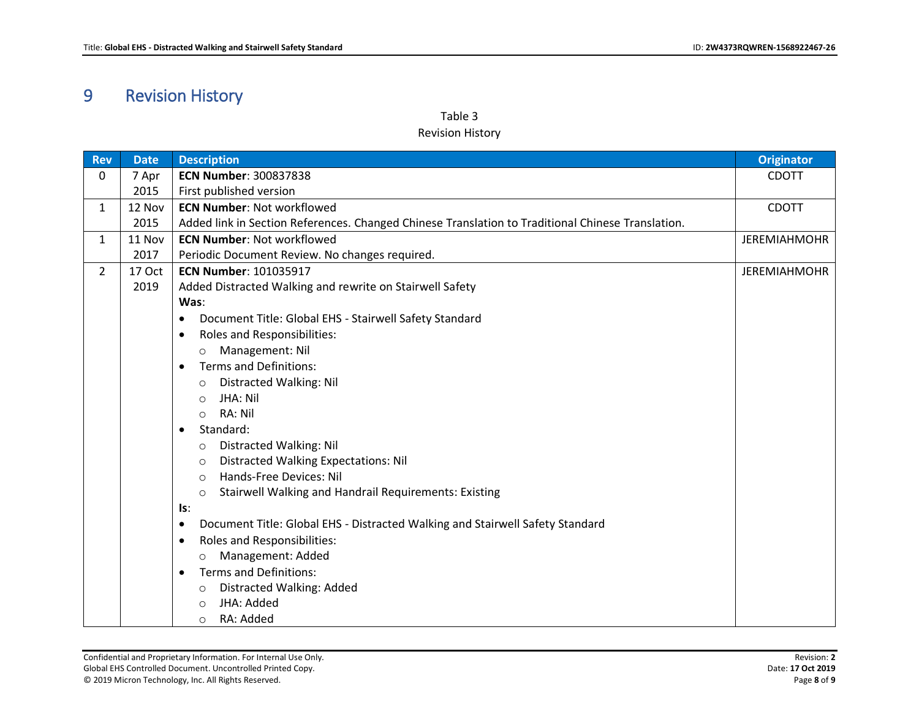# 9 Revision History

## Table 3

#### Revision History

<span id="page-7-1"></span><span id="page-7-0"></span>

| <b>Rev</b>     | <b>Date</b> | <b>Description</b>                                                                                | <b>Originator</b>   |
|----------------|-------------|---------------------------------------------------------------------------------------------------|---------------------|
| 0              | 7 Apr       | <b>ECN Number: 300837838</b>                                                                      | <b>CDOTT</b>        |
|                | 2015        | First published version                                                                           |                     |
| $\mathbf{1}$   | 12 Nov      | <b>ECN Number: Not workflowed</b>                                                                 | <b>CDOTT</b>        |
|                | 2015        | Added link in Section References. Changed Chinese Translation to Traditional Chinese Translation. |                     |
| $\mathbf{1}$   | 11 Nov      | <b>ECN Number: Not workflowed</b>                                                                 | <b>JEREMIAHMOHR</b> |
|                | 2017        | Periodic Document Review. No changes required.                                                    |                     |
| $\overline{2}$ | 17 Oct      | <b>ECN Number: 101035917</b>                                                                      | <b>JEREMIAHMOHR</b> |
|                | 2019        | Added Distracted Walking and rewrite on Stairwell Safety                                          |                     |
|                |             | Was:                                                                                              |                     |
|                |             | Document Title: Global EHS - Stairwell Safety Standard                                            |                     |
|                |             | Roles and Responsibilities:<br>$\bullet$                                                          |                     |
|                |             | Management: Nil<br>$\circ$                                                                        |                     |
|                |             | <b>Terms and Definitions:</b><br>$\bullet$                                                        |                     |
|                |             | Distracted Walking: Nil<br>O                                                                      |                     |
|                |             | JHA: Nil<br>$\circ$                                                                               |                     |
|                |             | RA: Nil<br>$\circ$                                                                                |                     |
|                |             | Standard:<br>$\bullet$                                                                            |                     |
|                |             | Distracted Walking: Nil<br>$\circ$                                                                |                     |
|                |             | <b>Distracted Walking Expectations: Nil</b><br>$\circ$                                            |                     |
|                |             | Hands-Free Devices: Nil<br>$\bigcirc$                                                             |                     |
|                |             | Stairwell Walking and Handrail Requirements: Existing<br>$\circ$                                  |                     |
|                |             | ls:                                                                                               |                     |
|                |             | Document Title: Global EHS - Distracted Walking and Stairwell Safety Standard<br>$\bullet$        |                     |
|                |             | Roles and Responsibilities:<br>$\bullet$                                                          |                     |
|                |             | Management: Added<br>$\circ$                                                                      |                     |
|                |             | <b>Terms and Definitions:</b><br>$\bullet$                                                        |                     |
|                |             | Distracted Walking: Added<br>$\circ$                                                              |                     |
|                |             | JHA: Added<br>$\circ$                                                                             |                     |
|                |             | RA: Added<br>$\circ$                                                                              |                     |